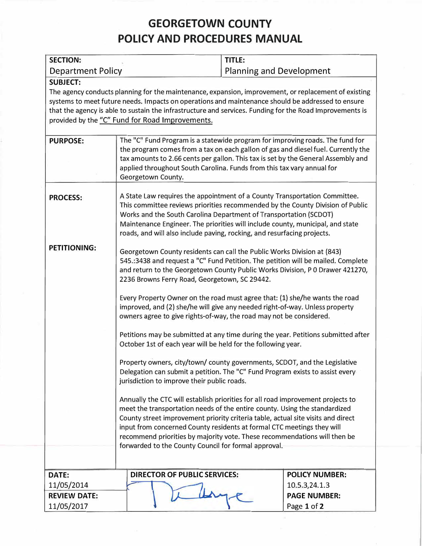# **GEORGETOWN COUNTY POLICY AND PROCEDURES MANUAL**

| <b>SECTION:</b>          |                                                                                                                                                                                                                                                                                                                                                                                                                                                                                                                                    | TITLE:                          |                       |
|--------------------------|------------------------------------------------------------------------------------------------------------------------------------------------------------------------------------------------------------------------------------------------------------------------------------------------------------------------------------------------------------------------------------------------------------------------------------------------------------------------------------------------------------------------------------|---------------------------------|-----------------------|
| <b>Department Policy</b> |                                                                                                                                                                                                                                                                                                                                                                                                                                                                                                                                    | <b>Planning and Development</b> |                       |
| <b>SUBJECT:</b>          | The agency conducts planning for the maintenance, expansion, improvement, or replacement of existing<br>systems to meet future needs. Impacts on operations and maintenance should be addressed to ensure<br>that the agency is able to sustain the infrastructure and services. Funding for the Road Improvements is<br>provided by the "C" Fund for Road Improvements.                                                                                                                                                           |                                 |                       |
| <b>PURPOSE:</b>          | The "C" Fund Program is a statewide program for improving roads. The fund for<br>the program comes from a tax on each gallon of gas and diesel fuel. Currently the<br>tax amounts to 2.66 cents per gallon. This tax is set by the General Assembly and<br>applied throughout South Carolina. Funds from this tax vary annual for<br>Georgetown County.                                                                                                                                                                            |                                 |                       |
| <b>PROCESS:</b>          | A State Law requires the appointment of a County Transportation Committee.<br>This committee reviews priorities recommended by the County Division of Public<br>Works and the South Carolina Department of Transportation (SCDOT)<br>Maintenance Engineer. The priorities will include county, municipal, and state<br>roads, and will also include paving, rocking, and resurfacing projects.                                                                                                                                     |                                 |                       |
| <b>PETITIONING:</b>      | Georgetown County residents can call the Public Works Division at (843)<br>545.:3438 and request a "C" Fund Petition. The petition will be mailed. Complete<br>and return to the Georgetown County Public Works Division, P 0 Drawer 421270,<br>2236 Browns Ferry Road, Georgetown, SC 29442.<br>Every Property Owner on the road must agree that: (1) she/he wants the road<br>improved, and (2) she/he will give any needed right-of-way. Unless property<br>owners agree to give rights-of-way, the road may not be considered. |                                 |                       |
|                          | Petitions may be submitted at any time during the year. Petitions submitted after<br>October 1st of each year will be held for the following year.<br>Property owners, city/town/ county governments, SCDOT, and the Legislative<br>Delegation can submit a petition. The "C" Fund Program exists to assist every<br>jurisdiction to improve their public roads.                                                                                                                                                                   |                                 |                       |
|                          | Annually the CTC will establish priorities for all road improvement projects to<br>meet the transportation needs of the entire county. Using the standardized<br>County street improvement priority criteria table, actual site visits and direct<br>input from concerned County residents at formal CTC meetings they will<br>recommend priorities by majority vote. These recommendations will then be<br>forwarded to the County Council for formal approval.                                                                   |                                 |                       |
|                          |                                                                                                                                                                                                                                                                                                                                                                                                                                                                                                                                    |                                 |                       |
| DATE:                    | <b>DIRECTOR OF PUBLIC SERVICES:</b>                                                                                                                                                                                                                                                                                                                                                                                                                                                                                                |                                 | <b>POLICY NUMBER:</b> |
| 11/05/2014               |                                                                                                                                                                                                                                                                                                                                                                                                                                                                                                                                    |                                 | 10.5.3,24.1.3         |
| <b>REVIEW DATE:</b>      |                                                                                                                                                                                                                                                                                                                                                                                                                                                                                                                                    |                                 | <b>PAGE NUMBER:</b>   |
| 11/05/2017               |                                                                                                                                                                                                                                                                                                                                                                                                                                                                                                                                    |                                 | Page 1 of 2           |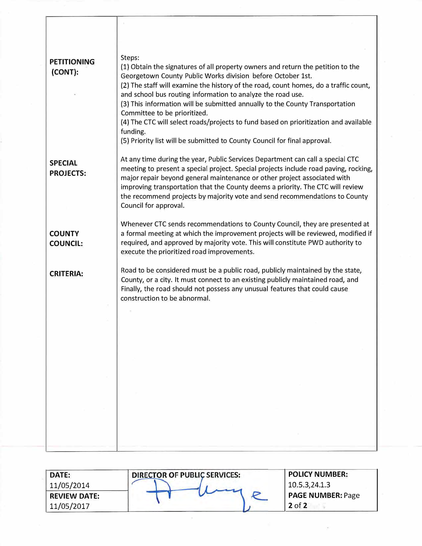| <b>PETITIONING</b><br>(CONT):      | Steps:<br>(1) Obtain the signatures of all property owners and return the petition to the<br>Georgetown County Public Works division before October 1st.<br>(2) The staff will examine the history of the road, count homes, do a traffic count,<br>and school bus routing information to analyze the road use.<br>(3) This information will be submitted annually to the County Transportation<br>Committee to be prioritized.<br>(4) The CTC will select roads/projects to fund based on prioritization and available<br>funding. |
|------------------------------------|-------------------------------------------------------------------------------------------------------------------------------------------------------------------------------------------------------------------------------------------------------------------------------------------------------------------------------------------------------------------------------------------------------------------------------------------------------------------------------------------------------------------------------------|
|                                    | (5) Priority list will be submitted to County Council for final approval.                                                                                                                                                                                                                                                                                                                                                                                                                                                           |
| <b>SPECIAL</b><br><b>PROJECTS:</b> | At any time during the year, Public Services Department can call a special CTC<br>meeting to present a special project. Special projects include road paving, rocking,<br>major repair beyond general maintenance or other project associated with<br>improving transportation that the County deems a priority. The CTC will review<br>the recommend projects by majority vote and send recommendations to County<br>Council for approval.                                                                                         |
| <b>COUNTY</b><br><b>COUNCIL:</b>   | Whenever CTC sends recommendations to County Council, they are presented at<br>a formal meeting at which the improvement projects will be reviewed, modified if<br>required, and approved by majority vote. This will constitute PWD authority to<br>execute the prioritized road improvements.                                                                                                                                                                                                                                     |
| <b>CRITERIA:</b>                   | Road to be considered must be a public road, publicly maintained by the state,<br>County, or a city. It must connect to an existing publicly maintained road, and<br>Finally, the road should not possess any unusual features that could cause<br>construction to be abnormal.                                                                                                                                                                                                                                                     |
|                                    |                                                                                                                                                                                                                                                                                                                                                                                                                                                                                                                                     |
|                                    |                                                                                                                                                                                                                                                                                                                                                                                                                                                                                                                                     |
|                                    |                                                                                                                                                                                                                                                                                                                                                                                                                                                                                                                                     |
|                                    |                                                                                                                                                                                                                                                                                                                                                                                                                                                                                                                                     |
|                                    |                                                                                                                                                                                                                                                                                                                                                                                                                                                                                                                                     |
|                                    |                                                                                                                                                                                                                                                                                                                                                                                                                                                                                                                                     |
|                                    |                                                                                                                                                                                                                                                                                                                                                                                                                                                                                                                                     |
|                                    |                                                                                                                                                                                                                                                                                                                                                                                                                                                                                                                                     |
|                                    |                                                                                                                                                                                                                                                                                                                                                                                                                                                                                                                                     |

| <b>DATE:</b>        | <b>DIRECTOR OF PUBLIC SERVICES:</b> | <b>POLICY NUMBER:</b>    |
|---------------------|-------------------------------------|--------------------------|
| 11/05/2014          |                                     | 10.5.3,24.1.3            |
| <b>REVIEW DATE:</b> |                                     | <b>PAGE NUMBER: Page</b> |
| 11/05/2017          |                                     | $2$ of 2                 |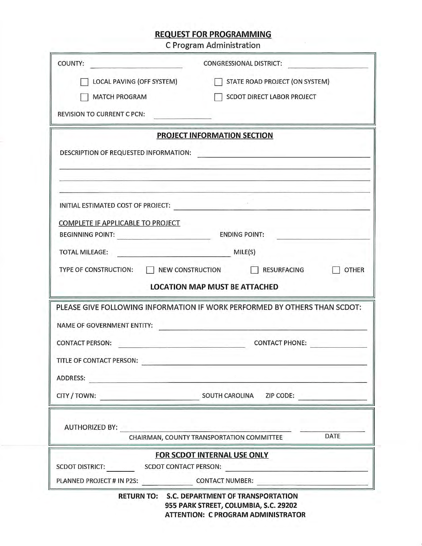# **REQUEST FOR PROGRAMMING**

C Program Administration

| COUNTY:                                                                             | <b>CONGRESSIONAL DISTRICT:</b>                                            |
|-------------------------------------------------------------------------------------|---------------------------------------------------------------------------|
| LOCAL PAVING (OFF SYSTEM)                                                           | STATE ROAD PROJECT (ON SYSTEM)                                            |
| <b>MATCH PROGRAM</b>                                                                | SCDOT DIRECT LABOR PROJECT                                                |
| <b>REVISION TO CURRENT C PCN:</b>                                                   |                                                                           |
|                                                                                     | <b>PROJECT INFORMATION SECTION</b>                                        |
| DESCRIPTION OF REQUESTED INFORMATION:                                               |                                                                           |
| INITIAL ESTIMATED COST OF PROJECT:                                                  |                                                                           |
| COMPLETE IF APPLICABLE TO PROJECT                                                   |                                                                           |
| <b>BEGINNING POINT:</b>                                                             | <b>ENDING POINT:</b>                                                      |
| <b>TOTAL MILEAGE:</b>                                                               | MILE(S)                                                                   |
| TYPE OF CONSTRUCTION:                                                               | NEW CONSTRUCTION   RESURFACING<br><b>OTHER</b>                            |
|                                                                                     | <b>LOCATION MAP MUST BE ATTACHED</b>                                      |
|                                                                                     | PLEASE GIVE FOLLOWING INFORMATION IF WORK PERFORMED BY OTHERS THAN SCDOT: |
| NAME OF GOVERNMENT ENTITY:                                                          |                                                                           |
| <b>CONTACT PERSON:</b>                                                              | <b>CONTACT PHONE:</b>                                                     |
| TITLE OF CONTACT PERSON:                                                            |                                                                           |
|                                                                                     |                                                                           |
| <b>ADDRESS:</b>                                                                     |                                                                           |
|                                                                                     |                                                                           |
|                                                                                     | SOUTH CAROLINA ZIP CODE:                                                  |
|                                                                                     |                                                                           |
| AUTHORIZED BY: AUTHORIZED BY:                                                       | DATE<br>CHAIRMAN, COUNTY TRANSPORTATION COMMITTEE                         |
|                                                                                     | FOR SCDOT INTERNAL USE ONLY                                               |
| CITY / TOWN:<br><b>SCDOT DISTRICT:</b><br>PLANNED PROJECT # IN P2S: CONTACT NUMBER: | <b>SCDOT CONTACT PERSON:</b>                                              |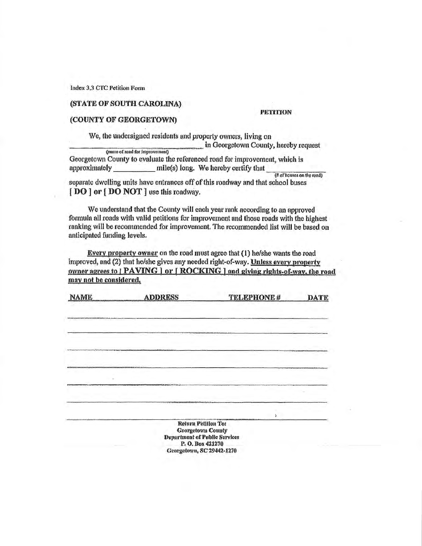Index 3.3 CTC Petition Form

## (STATE OF SOUTH CAROLINA)

#### **PETITION**

## (COUNTY OF GEORGETOWN)

We, the undersigned residents and property owners, living on In Georgetown County, hereby request (name of road for improvement)

Georgetown County to evaluate the referenced road for improvement, which is approximately \_\_\_\_\_\_\_\_\_\_ mile(s) long. We hereby certify that

(# of houses on the road)

separate dwelling units have entrances off of this roadway and that school buses [DO] or [DO NOT] use this roadway.

We understand that the County will each year rank according to an approved formula all roads with valid petitions for improvement and those roads with the highest ranking will be recommended for improvement. The recommended list will be based on anticipated funding levels.

Every property owner on the road must agree that (1) he/she wants the road improved, and (2) that he/she gives any needed right-of-way. Unless every property owner agrees to | PAVING | or [ ROCKING ] and giving rights-of-way, the road may not be considered.

| <b>NAME</b>                                                       | <b>ADDRESS</b>                                                              | TELEPHONE # | <b>DATE</b>                             |
|-------------------------------------------------------------------|-----------------------------------------------------------------------------|-------------|-----------------------------------------|
|                                                                   |                                                                             |             |                                         |
| till i krigvenment avere till harmmod et altill i terministerade. |                                                                             |             |                                         |
|                                                                   |                                                                             |             |                                         |
|                                                                   |                                                                             |             |                                         |
|                                                                   | minumments automaniated Managemanida                                        |             |                                         |
|                                                                   |                                                                             |             | <b>PERMIT PRODUCT AND INVESTIGATION</b> |
|                                                                   |                                                                             |             | <b>THE REAL PROPERTY</b>                |
|                                                                   |                                                                             |             |                                         |
|                                                                   |                                                                             |             |                                         |
|                                                                   |                                                                             |             |                                         |
|                                                                   | TV Reservements the contract of the second                                  |             |                                         |
|                                                                   |                                                                             |             |                                         |
|                                                                   | man menta meleoretik ketiterigaturung kapal pada tahun 1992 pada 200 daerah |             |                                         |
|                                                                   | Return Petition To:                                                         |             |                                         |
|                                                                   | <b>Georgetown County</b>                                                    |             |                                         |
|                                                                   | Department of Public Services                                               |             |                                         |
|                                                                   | P. O. Box 421270                                                            |             |                                         |
|                                                                   | Georgetown, SC 29442-1270                                                   |             |                                         |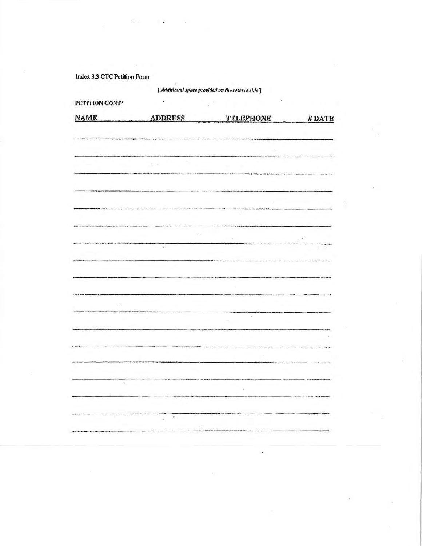Index 3.3 CTC Petition Form

 $\overline{1}$  ,  $\overline{1}$ 

 $\sim 100$ 

**Contract** 

[Additional space provided on the reserve side]

| NAME                   | <b>ADDRESS</b>        |                  |        |
|------------------------|-----------------------|------------------|--------|
|                        |                       | <b>TELEPHONE</b> | # DATE |
|                        |                       |                  |        |
|                        |                       |                  |        |
|                        |                       |                  |        |
|                        |                       |                  |        |
|                        |                       | *******          |        |
|                        |                       |                  |        |
|                        |                       |                  |        |
|                        |                       |                  |        |
| <b>NACIMAL</b> USACHAL |                       |                  |        |
|                        |                       |                  |        |
|                        |                       |                  |        |
|                        |                       |                  |        |
|                        | $\sim$                |                  | ÷      |
|                        |                       |                  |        |
|                        |                       |                  |        |
|                        |                       |                  |        |
|                        |                       |                  |        |
|                        |                       |                  |        |
|                        |                       |                  |        |
|                        |                       |                  |        |
| <b>TERRITOR</b>        |                       | ÷.               |        |
|                        |                       |                  |        |
|                        |                       |                  |        |
|                        |                       |                  |        |
|                        |                       |                  |        |
|                        |                       |                  |        |
|                        |                       |                  |        |
| $\rightarrow$          |                       |                  |        |
|                        |                       |                  |        |
|                        | ٠                     |                  | renna  |
|                        |                       |                  |        |
|                        | x<br>$\sim$ 4 $\cdot$ |                  |        |
|                        |                       |                  |        |
|                        |                       |                  |        |
|                        | $\sim$                |                  |        |
|                        |                       | $\sim 10^{-1}$   |        |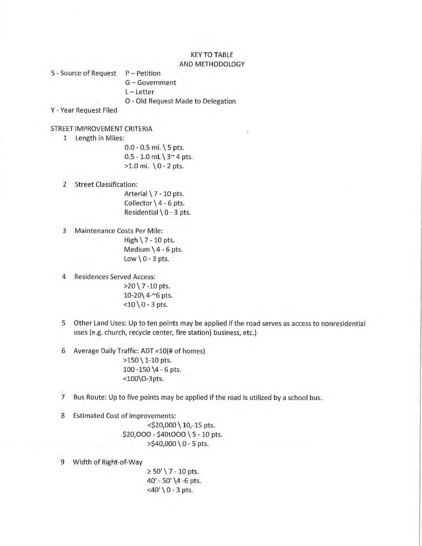### **KEY TO TABLE** AND METHODOLOGY

S - Source of Request  $P - Petition$ G-Government  $L - Letter$ O - Old Request Made to Delegation

Y - Year Request Filed

## STREET IMPROVEMENT CRITERIA

1 Length in Miles:

 $0.0 - 0.5$  mi.  $\{5$  pts.  $0.5 - 1.0$  mL  $3^{\sim}$  4 pts. >1.0 mi. \0 - 2 pts.

- 2 Street Classification: Arterial \ 7 - 10 pts. Collector  $\{4 - 6$  pts. Residential  $\setminus$  0 - 3 pts.
- 3 Maintenance Costs Per Mile: High  $\7 - 10$  pts. Medium  $\4 - 6$  pts. Low  $\ 0 - 3$  pts.
- 4 Residences Served Access:  $>20$  \ 7 -10 pts. 10-20\ 4-~6 pts.  $<$ 10 \ 0 - 3 pts.
- 5 Other Land Uses: Up to ten points may be applied if the road serves as access to nonresidential uses (e.g. church, recycle center, fire station) business, etc.)
- 6 Average Daily Traffic: ADT = 10(# of homes)  $>150$  \ 1-10 pts. 100 - 150  $\4 - 6$  pts. <100\O-3pts.
- $\overline{7}$ Bus Route: Up to five points may be applied if the road is utilized by a school bus.
- 8 Estimated Cost of improvements:

<\$20,000 \ 10,-15 pts.  $$20,000 - $40t000 \setminus 5 - 10$  pts.  $>$ \$40,000 \ 0 - 5 pts.

9 Width of Right-of-Way

 $\geq 50'$  \ 7 - 10 pts. 40' - 50' \4 -6 pts.  $<$ 40' \ 0 - 3 pts.